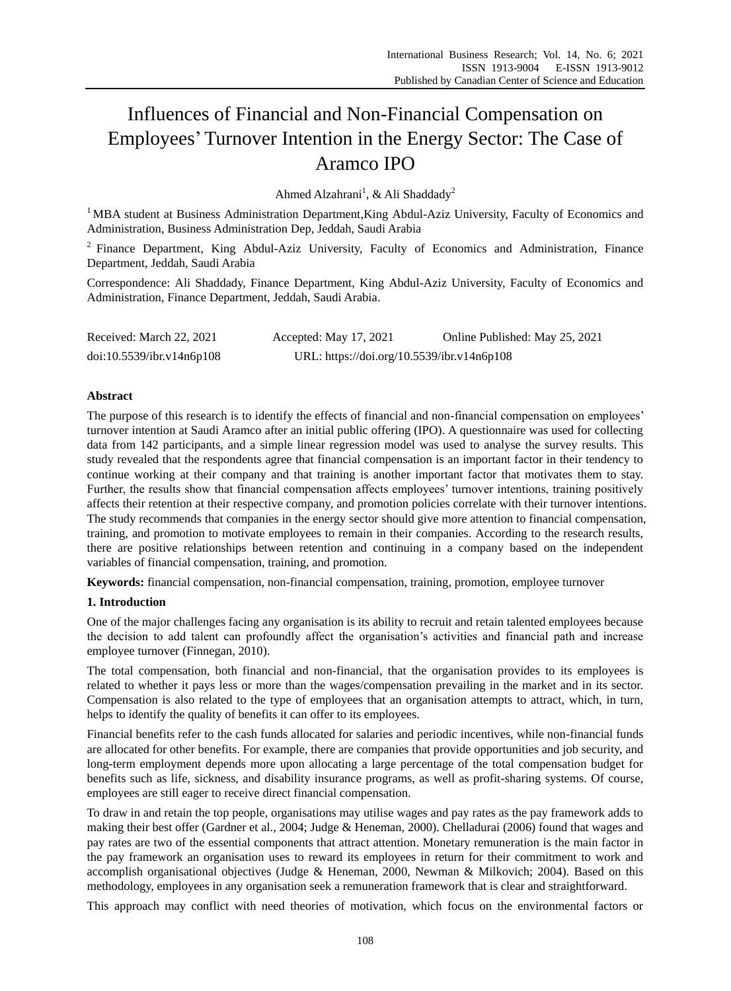# Influences of Financial and Non-Financial Compensation on Employees' Turnover Intention in the Energy Sector: The Case of Aramco IPO

Ahmed Alzahrani<sup>1</sup>, & Ali Shaddady<sup>2</sup>

<sup>1</sup> MBA student at Business Administration Department, King Abdul-Aziz University, Faculty of Economics and Administration, Business Administration Dep, Jeddah, Saudi Arabia

<sup>2</sup> Finance Department, King Abdul-Aziz University, Faculty of Economics and Administration, Finance Department, Jeddah, Saudi Arabia

Correspondence: Ali Shaddady, Finance Department, King Abdul-Aziz University, Faculty of Economics and Administration, Finance Department, Jeddah, Saudi Arabia.

| Received: March 22, 2021  | Accepted: May 17, 2021                     | Online Published: May 25, 2021 |
|---------------------------|--------------------------------------------|--------------------------------|
| doi:10.5539/ibr.v14n6p108 | URL: https://doi.org/10.5539/ibr.v14n6p108 |                                |

# **Abstract**

The purpose of this research is to identify the effects of financial and non-financial compensation on employees' turnover intention at Saudi Aramco after an initial public offering (IPO). A questionnaire was used for collecting data from 142 participants, and a simple linear regression model was used to analyse the survey results. This study revealed that the respondents agree that financial compensation is an important factor in their tendency to continue working at their company and that training is another important factor that motivates them to stay. Further, the results show that financial compensation affects employees' turnover intentions, training positively affects their retention at their respective company, and promotion policies correlate with their turnover intentions. The study recommends that companies in the energy sector should give more attention to financial compensation, training, and promotion to motivate employees to remain in their companies. According to the research results, there are positive relationships between retention and continuing in a company based on the independent variables of financial compensation, training, and promotion.

**Keywords:** financial compensation, non-financial compensation, training, promotion, employee turnover

## **1. Introduction**

One of the major challenges facing any organisation is its ability to recruit and retain talented employees because the decision to add talent can profoundly affect the organisation's activities and financial path and increase employee turnover (Finnegan, 2010).

The total compensation, both financial and non-financial, that the organisation provides to its employees is related to whether it pays less or more than the wages/compensation prevailing in the market and in its sector. Compensation is also related to the type of employees that an organisation attempts to attract, which, in turn, helps to identify the quality of benefits it can offer to its employees.

Financial benefits refer to the cash funds allocated for salaries and periodic incentives, while non-financial funds are allocated for other benefits. For example, there are companies that provide opportunities and job security, and long-term employment depends more upon allocating a large percentage of the total compensation budget for benefits such as life, sickness, and disability insurance programs, as well as profit-sharing systems. Of course, employees are still eager to receive direct financial compensation.

To draw in and retain the top people, organisations may utilise wages and pay rates as the pay framework adds to making their best offer (Gardner et al., 2004; Judge & Heneman, 2000). Chelladurai (2006) found that wages and pay rates are two of the essential components that attract attention. Monetary remuneration is the main factor in the pay framework an organisation uses to reward its employees in return for their commitment to work and accomplish organisational objectives (Judge & Heneman, 2000, Newman & Milkovich; 2004). Based on this methodology, employees in any organisation seek a remuneration framework that is clear and straightforward.

This approach may conflict with need theories of motivation, which focus on the environmental factors or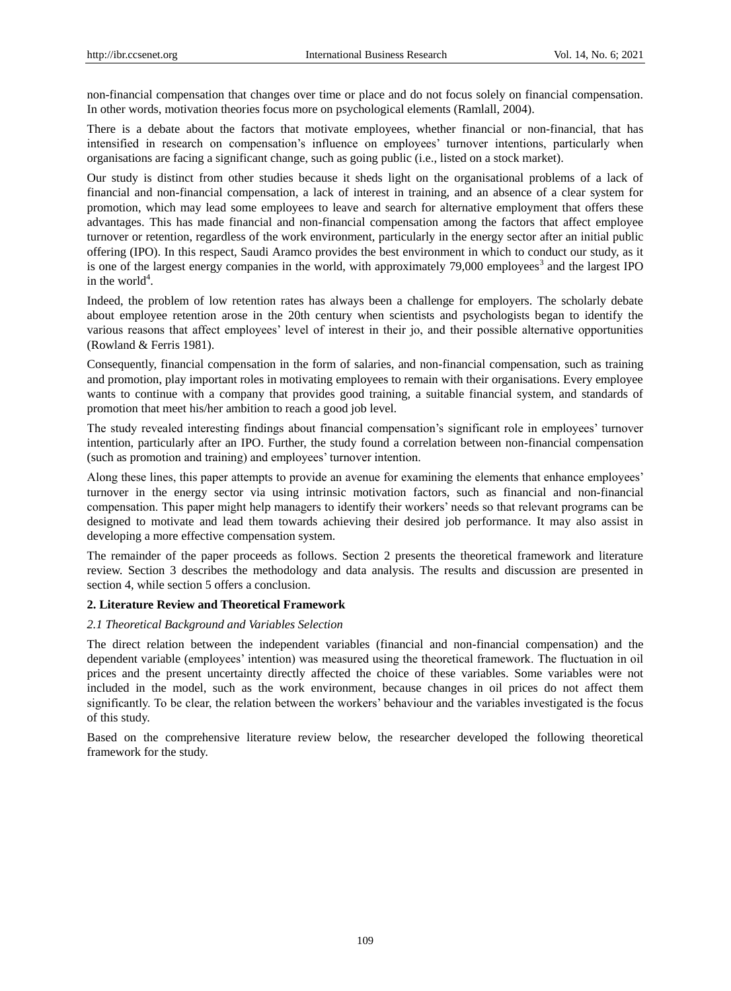non-financial compensation that changes over time or place and do not focus solely on financial compensation. In other words, motivation theories focus more on psychological elements (Ramlall, 2004).

There is a debate about the factors that motivate employees, whether financial or non-financial, that has intensified in research on compensation's influence on employees' turnover intentions, particularly when organisations are facing a significant change, such as going public (i.e., listed on a stock market).

Our study is distinct from other studies because it sheds light on the organisational problems of a lack of financial and non-financial compensation, a lack of interest in training, and an absence of a clear system for promotion, which may lead some employees to leave and search for alternative employment that offers these advantages. This has made financial and non-financial compensation among the factors that affect employee turnover or retention, regardless of the work environment, particularly in the energy sector after an initial public offering (IPO). In this respect, Saudi Aramco provides the best environment in which to conduct our study, as it is one of the largest energy companies in the world, with approximately 79,000 employees<sup>3</sup> and the largest IPO in the world<sup>4</sup>.

Indeed, the problem of low retention rates has always been a challenge for employers. The scholarly debate about employee retention arose in the 20th century when scientists and psychologists began to identify the various reasons that affect employees' level of interest in their jo, and their possible alternative opportunities (Rowland & Ferris 1981).

Consequently, financial compensation in the form of salaries, and non-financial compensation, such as training and promotion, play important roles in motivating employees to remain with their organisations. Every employee wants to continue with a company that provides good training, a suitable financial system, and standards of promotion that meet his/her ambition to reach a good job level.

The study revealed interesting findings about financial compensation's significant role in employees' turnover intention, particularly after an IPO. Further, the study found a correlation between non-financial compensation (such as promotion and training) and employees' turnover intention.

Along these lines, this paper attempts to provide an avenue for examining the elements that enhance employees' turnover in the energy sector via using intrinsic motivation factors, such as financial and non-financial compensation. This paper might help managers to identify their workers' needs so that relevant programs can be designed to motivate and lead them towards achieving their desired job performance. It may also assist in developing a more effective compensation system.

The remainder of the paper proceeds as follows. Section 2 presents the theoretical framework and literature review. Section 3 describes the methodology and data analysis. The results and discussion are presented in section 4, while section 5 offers a conclusion.

#### **2. Literature Review and Theoretical Framework**

## *2.1 Theoretical Background and Variables Selection*

The direct relation between the independent variables (financial and non-financial compensation) and the dependent variable (employees' intention) was measured using the theoretical framework. The fluctuation in oil prices and the present uncertainty directly affected the choice of these variables. Some variables were not included in the model, such as the work environment, because changes in oil prices do not affect them significantly. To be clear, the relation between the workers' behaviour and the variables investigated is the focus of this study.

Based on the comprehensive literature review below, the researcher developed the following theoretical framework for the study.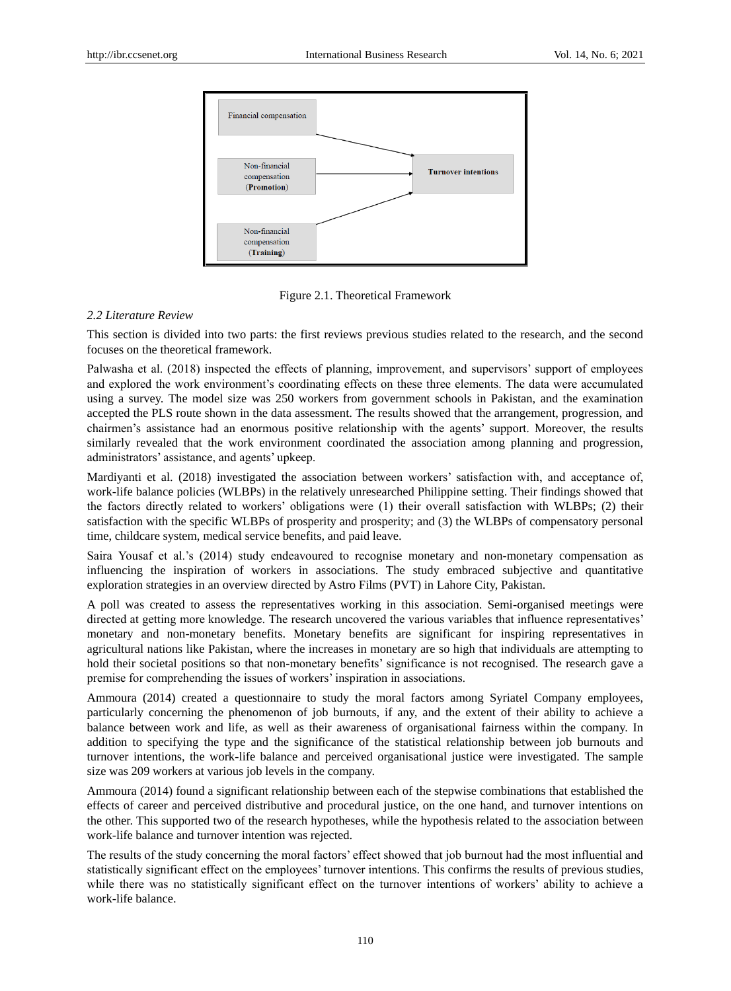

Figure 2.1. Theoretical Framework

#### *2.2 Literature Review*

This section is divided into two parts: the first reviews previous studies related to the research, and the second focuses on the theoretical framework.

Palwasha et al. (2018) inspected the effects of planning, improvement, and supervisors' support of employees and explored the work environment's coordinating effects on these three elements. The data were accumulated using a survey. The model size was 250 workers from government schools in Pakistan, and the examination accepted the PLS route shown in the data assessment. The results showed that the arrangement, progression, and chairmen's assistance had an enormous positive relationship with the agents' support. Moreover, the results similarly revealed that the work environment coordinated the association among planning and progression, administrators' assistance, and agents' upkeep.

Mardiyanti et al. (2018) investigated the association between workers' satisfaction with, and acceptance of, work-life balance policies (WLBPs) in the relatively unresearched Philippine setting. Their findings showed that the factors directly related to workers' obligations were (1) their overall satisfaction with WLBPs; (2) their satisfaction with the specific WLBPs of prosperity and prosperity; and (3) the WLBPs of compensatory personal time, childcare system, medical service benefits, and paid leave.

Saira Yousaf et al.'s (2014) study endeavoured to recognise monetary and non-monetary compensation as influencing the inspiration of workers in associations. The study embraced subjective and quantitative exploration strategies in an overview directed by Astro Films (PVT) in Lahore City, Pakistan.

A poll was created to assess the representatives working in this association. Semi-organised meetings were directed at getting more knowledge. The research uncovered the various variables that influence representatives' monetary and non-monetary benefits. Monetary benefits are significant for inspiring representatives in agricultural nations like Pakistan, where the increases in monetary are so high that individuals are attempting to hold their societal positions so that non-monetary benefits' significance is not recognised. The research gave a premise for comprehending the issues of workers' inspiration in associations.

Ammoura (2014) created a questionnaire to study the moral factors among Syriatel Company employees, particularly concerning the phenomenon of job burnouts, if any, and the extent of their ability to achieve a balance between work and life, as well as their awareness of organisational fairness within the company. In addition to specifying the type and the significance of the statistical relationship between job burnouts and turnover intentions, the work-life balance and perceived organisational justice were investigated. The sample size was 209 workers at various job levels in the company.

Ammoura (2014) found a significant relationship between each of the stepwise combinations that established the effects of career and perceived distributive and procedural justice, on the one hand, and turnover intentions on the other. This supported two of the research hypotheses, while the hypothesis related to the association between work-life balance and turnover intention was rejected.

The results of the study concerning the moral factors' effect showed that job burnout had the most influential and statistically significant effect on the employees' turnover intentions. This confirms the results of previous studies, while there was no statistically significant effect on the turnover intentions of workers' ability to achieve a work-life balance.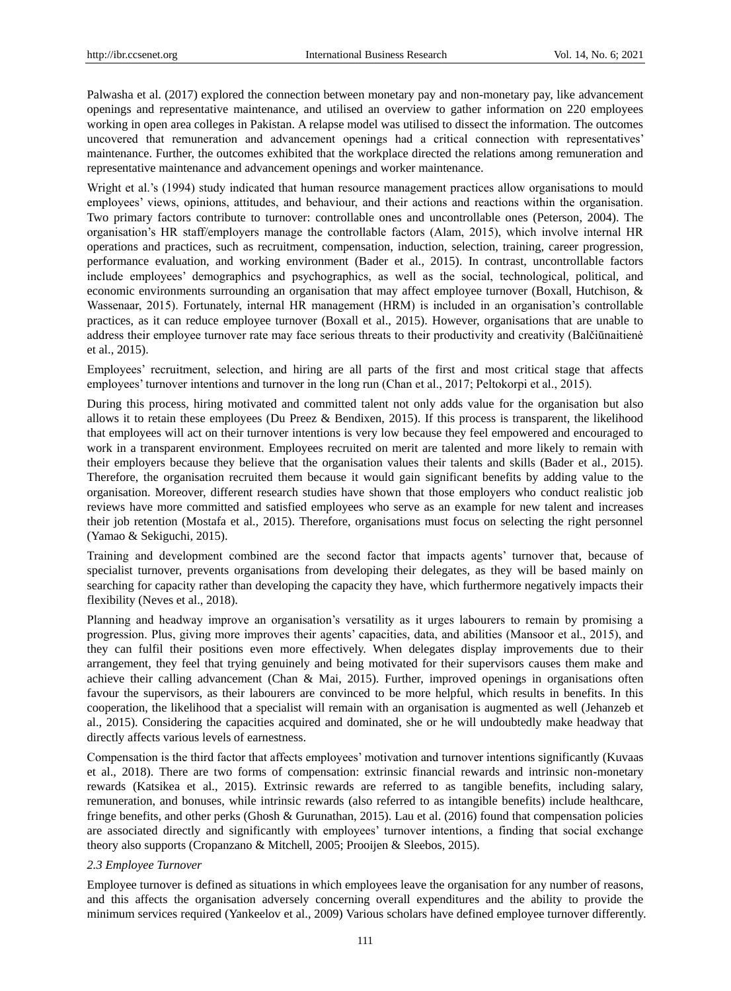Palwasha et al. (2017) explored the connection between monetary pay and non-monetary pay, like advancement openings and representative maintenance, and utilised an overview to gather information on 220 employees working in open area colleges in Pakistan. A relapse model was utilised to dissect the information. The outcomes uncovered that remuneration and advancement openings had a critical connection with representatives' maintenance. Further, the outcomes exhibited that the workplace directed the relations among remuneration and representative maintenance and advancement openings and worker maintenance.

Wright et al.'s (1994) study indicated that human resource management practices allow organisations to mould employees' views, opinions, attitudes, and behaviour, and their actions and reactions within the organisation. Two primary factors contribute to turnover: controllable ones and uncontrollable ones (Peterson, 2004). The organisation's HR staff/employers manage the controllable factors (Alam, 2015), which involve internal HR operations and practices, such as recruitment, compensation, induction, selection, training, career progression, performance evaluation, and working environment (Bader et al., 2015). In contrast, uncontrollable factors include employees' demographics and psychographics, as well as the social, technological, political, and economic environments surrounding an organisation that may affect employee turnover (Boxall, Hutchison, & Wassenaar, 2015). Fortunately, internal HR management (HRM) is included in an organisation's controllable practices, as it can reduce employee turnover (Boxall et al., 2015). However, organisations that are unable to address their employee turnover rate may face serious threats to their productivity and creativity (Balčiūnaitienė et al., 2015).

Employees' recruitment, selection, and hiring are all parts of the first and most critical stage that affects employees' turnover intentions and turnover in the long run (Chan et al., 2017; Peltokorpi et al., 2015).

During this process, hiring motivated and committed talent not only adds value for the organisation but also allows it to retain these employees (Du Preez & Bendixen, 2015). If this process is transparent, the likelihood that employees will act on their turnover intentions is very low because they feel empowered and encouraged to work in a transparent environment. Employees recruited on merit are talented and more likely to remain with their employers because they believe that the organisation values their talents and skills (Bader et al., 2015). Therefore, the organisation recruited them because it would gain significant benefits by adding value to the organisation. Moreover, different research studies have shown that those employers who conduct realistic job reviews have more committed and satisfied employees who serve as an example for new talent and increases their job retention (Mostafa et al., 2015). Therefore, organisations must focus on selecting the right personnel (Yamao & Sekiguchi, 2015).

Training and development combined are the second factor that impacts agents' turnover that, because of specialist turnover, prevents organisations from developing their delegates, as they will be based mainly on searching for capacity rather than developing the capacity they have, which furthermore negatively impacts their flexibility (Neves et al., 2018).

Planning and headway improve an organisation's versatility as it urges labourers to remain by promising a progression. Plus, giving more improves their agents' capacities, data, and abilities (Mansoor et al., 2015), and they can fulfil their positions even more effectively. When delegates display improvements due to their arrangement, they feel that trying genuinely and being motivated for their supervisors causes them make and achieve their calling advancement (Chan & Mai, 2015). Further, improved openings in organisations often favour the supervisors, as their labourers are convinced to be more helpful, which results in benefits. In this cooperation, the likelihood that a specialist will remain with an organisation is augmented as well (Jehanzeb et al., 2015). Considering the capacities acquired and dominated, she or he will undoubtedly make headway that directly affects various levels of earnestness.

Compensation is the third factor that affects employees' motivation and turnover intentions significantly (Kuvaas et al., 2018). There are two forms of compensation: extrinsic financial rewards and intrinsic non-monetary rewards (Katsikea et al., 2015). Extrinsic rewards are referred to as tangible benefits, including salary, remuneration, and bonuses, while intrinsic rewards (also referred to as intangible benefits) include healthcare, fringe benefits, and other perks (Ghosh & Gurunathan, 2015). Lau et al. (2016) found that compensation policies are associated directly and significantly with employees' turnover intentions, a finding that social exchange theory also supports (Cropanzano & Mitchell, 2005; Prooijen & Sleebos, 2015).

#### *2.3 Employee Turnover*

Employee turnover is defined as situations in which employees leave the organisation for any number of reasons, and this affects the organisation adversely concerning overall expenditures and the ability to provide the minimum services required (Yankeelov et al., 2009) Various scholars have defined employee turnover differently.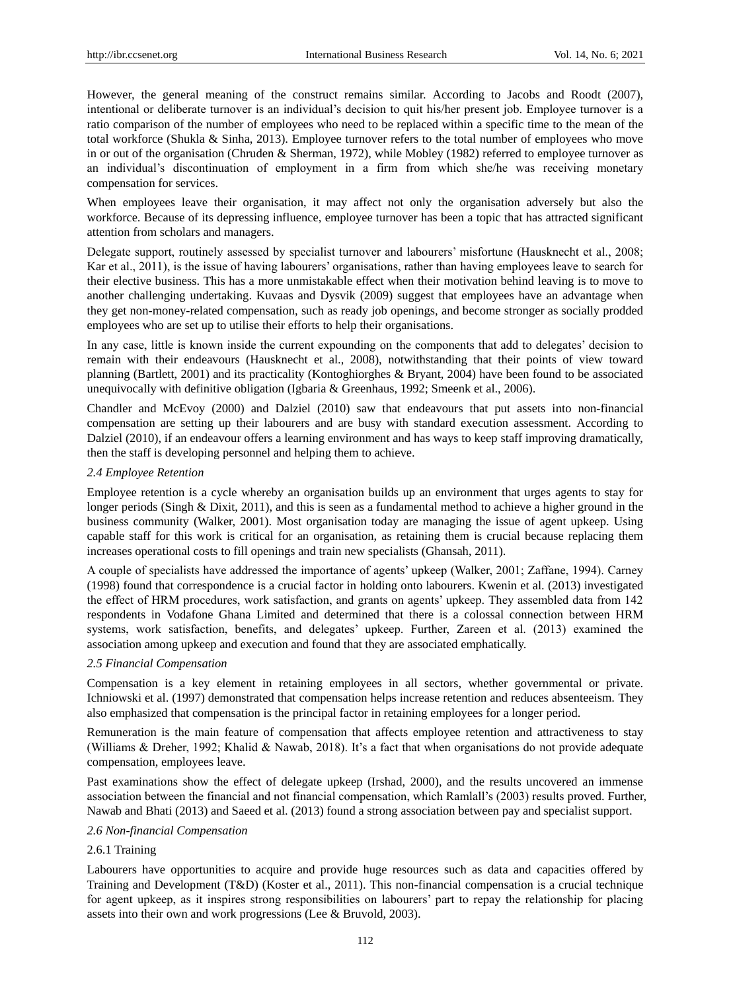However, the general meaning of the construct remains similar. According to Jacobs and Roodt (2007), intentional or deliberate turnover is an individual's decision to quit his/her present job. Employee turnover is a ratio comparison of the number of employees who need to be replaced within a specific time to the mean of the total workforce (Shukla & Sinha, 2013). Employee turnover refers to the total number of employees who move in or out of the organisation (Chruden & Sherman, 1972), while Mobley (1982) referred to employee turnover as an individual's discontinuation of employment in a firm from which she/he was receiving monetary compensation for services.

When employees leave their organisation, it may affect not only the organisation adversely but also the workforce. Because of its depressing influence, employee turnover has been a topic that has attracted significant attention from scholars and managers.

Delegate support, routinely assessed by specialist turnover and labourers' misfortune (Hausknecht et al., 2008; Kar et al., 2011), is the issue of having labourers' organisations, rather than having employees leave to search for their elective business. This has a more unmistakable effect when their motivation behind leaving is to move to another challenging undertaking. Kuvaas and Dysvik (2009) suggest that employees have an advantage when they get non-money-related compensation, such as ready job openings, and become stronger as socially prodded employees who are set up to utilise their efforts to help their organisations.

In any case, little is known inside the current expounding on the components that add to delegates' decision to remain with their endeavours (Hausknecht et al., 2008), notwithstanding that their points of view toward planning (Bartlett, 2001) and its practicality (Kontoghiorghes & Bryant, 2004) have been found to be associated unequivocally with definitive obligation (Igbaria & Greenhaus, 1992; Smeenk et al., 2006).

Chandler and McEvoy (2000) and Dalziel (2010) saw that endeavours that put assets into non-financial compensation are setting up their labourers and are busy with standard execution assessment. According to Dalziel (2010), if an endeavour offers a learning environment and has ways to keep staff improving dramatically, then the staff is developing personnel and helping them to achieve.

#### *2.4 Employee Retention*

Employee retention is a cycle whereby an organisation builds up an environment that urges agents to stay for longer periods (Singh & Dixit, 2011), and this is seen as a fundamental method to achieve a higher ground in the business community (Walker, 2001). Most organisation today are managing the issue of agent upkeep. Using capable staff for this work is critical for an organisation, as retaining them is crucial because replacing them increases operational costs to fill openings and train new specialists (Ghansah, 2011).

A couple of specialists have addressed the importance of agents' upkeep (Walker, 2001; Zaffane, 1994). Carney (1998) found that correspondence is a crucial factor in holding onto labourers. Kwenin et al. (2013) investigated the effect of HRM procedures, work satisfaction, and grants on agents' upkeep. They assembled data from 142 respondents in Vodafone Ghana Limited and determined that there is a colossal connection between HRM systems, work satisfaction, benefits, and delegates' upkeep. Further, Zareen et al. (2013) examined the association among upkeep and execution and found that they are associated emphatically.

#### *2.5 Financial Compensation*

Compensation is a key element in retaining employees in all sectors, whether governmental or private. Ichniowski et al. (1997) demonstrated that compensation helps increase retention and reduces absenteeism. They also emphasized that compensation is the principal factor in retaining employees for a longer period.

Remuneration is the main feature of compensation that affects employee retention and attractiveness to stay (Williams & Dreher, 1992; Khalid & Nawab, 2018). It's a fact that when organisations do not provide adequate compensation, employees leave.

Past examinations show the effect of delegate upkeep (Irshad, 2000), and the results uncovered an immense association between the financial and not financial compensation, which Ramlall's (2003) results proved. Further, Nawab and Bhati (2013) and Saeed et al. (2013) found a strong association between pay and specialist support.

#### *2.6 Non-financial Compensation*

# 2.6.1 Training

Labourers have opportunities to acquire and provide huge resources such as data and capacities offered by Training and Development (T&D) (Koster et al., 2011). This non-financial compensation is a crucial technique for agent upkeep, as it inspires strong responsibilities on labourers' part to repay the relationship for placing assets into their own and work progressions (Lee & Bruvold, 2003).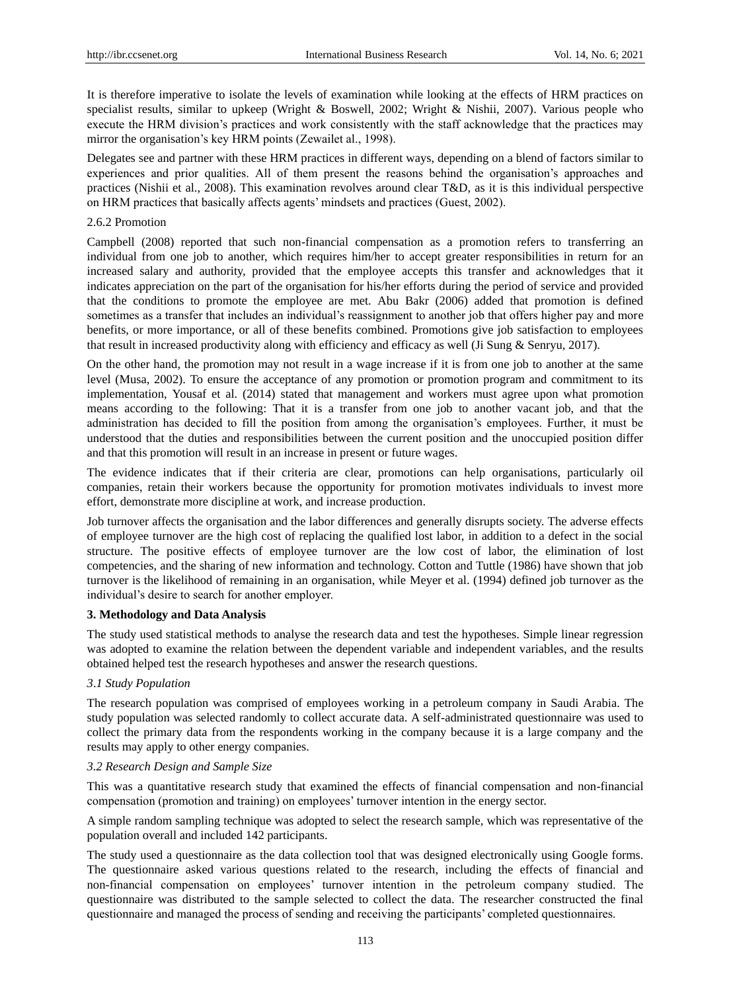It is therefore imperative to isolate the levels of examination while looking at the effects of HRM practices on specialist results, similar to upkeep (Wright & Boswell, 2002; Wright & Nishii, 2007). Various people who execute the HRM division's practices and work consistently with the staff acknowledge that the practices may mirror the organisation's key HRM points (Zewailet al., 1998).

Delegates see and partner with these HRM practices in different ways, depending on a blend of factors similar to experiences and prior qualities. All of them present the reasons behind the organisation's approaches and practices (Nishii et al., 2008). This examination revolves around clear T&D, as it is this individual perspective on HRM practices that basically affects agents' mindsets and practices (Guest, 2002).

#### 2.6.2 Promotion

Campbell (2008) reported that such non-financial compensation as a promotion refers to transferring an individual from one job to another, which requires him/her to accept greater responsibilities in return for an increased salary and authority, provided that the employee accepts this transfer and acknowledges that it indicates appreciation on the part of the organisation for his/her efforts during the period of service and provided that the conditions to promote the employee are met. Abu Bakr (2006) added that promotion is defined sometimes as a transfer that includes an individual's reassignment to another job that offers higher pay and more benefits, or more importance, or all of these benefits combined. Promotions give job satisfaction to employees that result in increased productivity along with efficiency and efficacy as well (Ji Sung & Senryu, 2017).

On the other hand, the promotion may not result in a wage increase if it is from one job to another at the same level (Musa, 2002). To ensure the acceptance of any promotion or promotion program and commitment to its implementation, Yousaf et al. (2014) stated that management and workers must agree upon what promotion means according to the following: That it is a transfer from one job to another vacant job, and that the administration has decided to fill the position from among the organisation's employees. Further, it must be understood that the duties and responsibilities between the current position and the unoccupied position differ and that this promotion will result in an increase in present or future wages.

The evidence indicates that if their criteria are clear, promotions can help organisations, particularly oil companies, retain their workers because the opportunity for promotion motivates individuals to invest more effort, demonstrate more discipline at work, and increase production.

Job turnover affects the organisation and the labor differences and generally disrupts society. The adverse effects of employee turnover are the high cost of replacing the qualified lost labor, in addition to a defect in the social structure. The positive effects of employee turnover are the low cost of labor, the elimination of lost competencies, and the sharing of new information and technology. Cotton and Tuttle (1986) have shown that job turnover is the likelihood of remaining in an organisation, while Meyer et al. (1994) defined job turnover as the individual's desire to search for another employer.

# **3. Methodology and Data Analysis**

The study used statistical methods to analyse the research data and test the hypotheses. Simple linear regression was adopted to examine the relation between the dependent variable and independent variables, and the results obtained helped test the research hypotheses and answer the research questions.

## *3*.*1 Study Population*

The research population was comprised of employees working in a petroleum company in Saudi Arabia. The study population was selected randomly to collect accurate data. A self-administrated questionnaire was used to collect the primary data from the respondents working in the company because it is a large company and the results may apply to other energy companies.

## *3.2 Research Design and Sample Size*

This was a quantitative research study that examined the effects of financial compensation and non-financial compensation (promotion and training) on employees' turnover intention in the energy sector.

A simple random sampling technique was adopted to select the research sample, which was representative of the population overall and included 142 participants.

The study used a questionnaire as the data collection tool that was designed electronically using Google forms. The questionnaire asked various questions related to the research, including the effects of financial and non-financial compensation on employees' turnover intention in the petroleum company studied. The questionnaire was distributed to the sample selected to collect the data. The researcher constructed the final questionnaire and managed the process of sending and receiving the participants' completed questionnaires.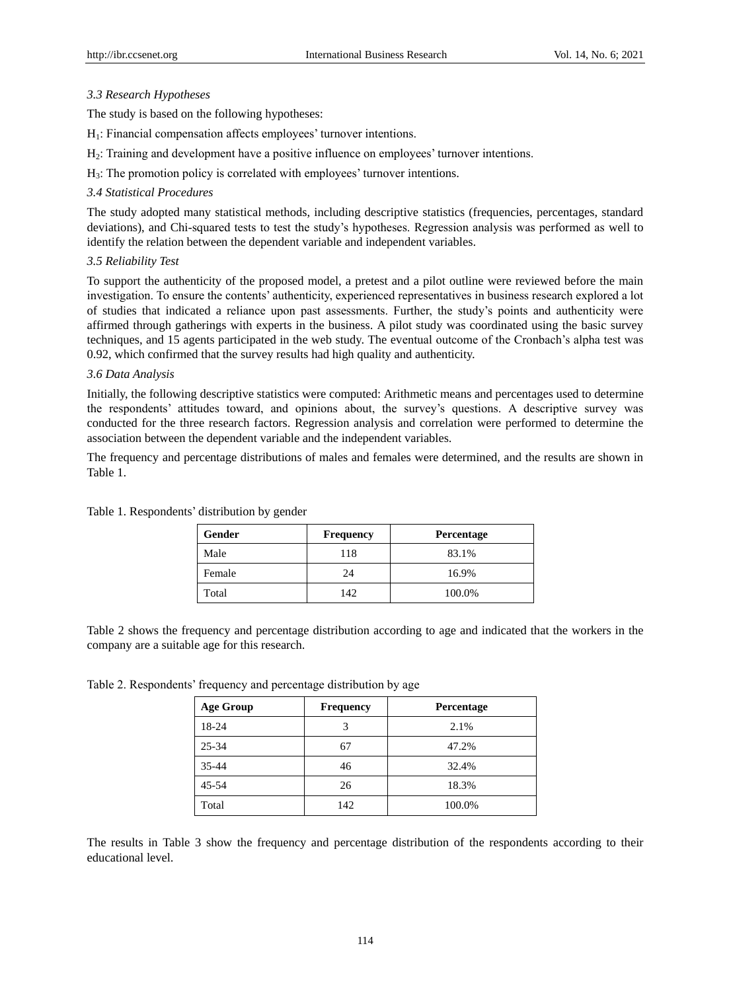## *3.3 Research Hypotheses*

The study is based on the following hypotheses:

H<sub>1</sub>: Financial compensation affects employees' turnover intentions.

- H<sub>2</sub>: Training and development have a positive influence on employees' turnover intentions.
- $H_3$ : The promotion policy is correlated with employees' turnover intentions.

## *3.4 Statistical Procedures*

The study adopted many statistical methods, including descriptive statistics (frequencies, percentages, standard deviations), and Chi-squared tests to test the study's hypotheses. Regression analysis was performed as well to identify the relation between the dependent variable and independent variables.

# *3.5 Reliability Test*

To support the authenticity of the proposed model, a pretest and a pilot outline were reviewed before the main investigation. To ensure the contents' authenticity, experienced representatives in business research explored a lot of studies that indicated a reliance upon past assessments. Further, the study's points and authenticity were affirmed through gatherings with experts in the business. A pilot study was coordinated using the basic survey techniques, and 15 agents participated in the web study. The eventual outcome of the Cronbach's alpha test was 0.92, which confirmed that the survey results had high quality and authenticity.

## *3.6 Data Analysis*

Initially, the following descriptive statistics were computed: Arithmetic means and percentages used to determine the respondents' attitudes toward, and opinions about, the survey's questions. A descriptive survey was conducted for the three research factors. Regression analysis and correlation were performed to determine the association between the dependent variable and the independent variables.

The frequency and percentage distributions of males and females were determined, and the results are shown in Table 1.

| Gender | <b>Frequency</b> | <b>Percentage</b> |
|--------|------------------|-------------------|
| Male   | 118              | 83.1%             |
| Female | 24               | 16.9%             |
| Total  | 142              | 100.0%            |

Table 1. Respondents' distribution by gender

Table 2 shows the frequency and percentage distribution according to age and indicated that the workers in the company are a suitable age for this research.

Table 2. Respondents' frequency and percentage distribution by age

| <b>Age Group</b> | <b>Frequency</b> | Percentage |
|------------------|------------------|------------|
| 18-24            |                  | 2.1%       |
| 25-34            | 67               | 47.2%      |
| $35 - 44$        | 46               | 32.4%      |
| $45 - 54$        | 26               | 18.3%      |
| Total            | 142              | 100.0%     |

The results in Table 3 show the frequency and percentage distribution of the respondents according to their educational level.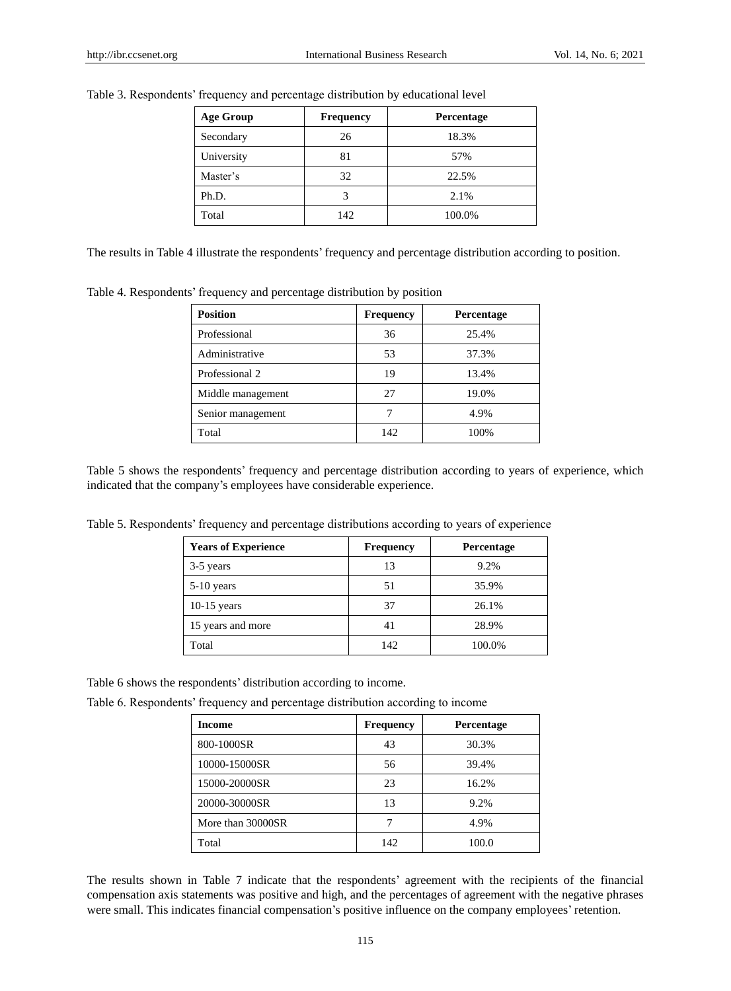| <b>Age Group</b> | <b>Frequency</b> | Percentage |
|------------------|------------------|------------|
| Secondary        | 26               | 18.3%      |
| University       | 81               | 57%        |
| Master's         | 32               | 22.5%      |
| Ph.D.            |                  | 2.1%       |
| Total            | 142              | 100.0%     |

Table 3. Respondents' frequency and percentage distribution by educational level

The results in Table 4 illustrate the respondents' frequency and percentage distribution according to position.

Table 4. Respondents' frequency and percentage distribution by position

| <b>Position</b>   | <b>Frequency</b> | Percentage |
|-------------------|------------------|------------|
| Professional      | 36               | 25.4%      |
| Administrative    | 53               | 37.3%      |
| Professional 2    | 19               | 13.4%      |
| Middle management | 27               | 19.0%      |
| Senior management |                  | 4.9%       |
| Total             | 142              | 100%       |

Table 5 shows the respondents' frequency and percentage distribution according to years of experience, which indicated that the company's employees have considerable experience.

Table 5. Respondents' frequency and percentage distributions according to years of experience

| <b>Years of Experience</b> | <b>Frequency</b> | <b>Percentage</b> |
|----------------------------|------------------|-------------------|
| 3-5 years                  | 13               | 9.2%              |
| $5-10$ years               | 51               | 35.9%             |
| $10-15$ years              | 37               | 26.1%             |
| 15 years and more          | 41               | 28.9%             |
| Total                      | 142              | 100.0%            |

Table 6 shows the respondents' distribution according to income.

Table 6. Respondents' frequency and percentage distribution according to income

| <b>Income</b>     | <b>Frequency</b> | Percentage |
|-------------------|------------------|------------|
| 800-1000SR        | 43               | 30.3%      |
| 10000-15000SR     | 56               | 39.4%      |
| 15000-20000SR     | 23               | 16.2%      |
| 20000-30000SR     | 13               | 9.2%       |
| More than 30000SR |                  | 4.9%       |
| Total             | 142              | 100.0      |

The results shown in Table 7 indicate that the respondents' agreement with the recipients of the financial compensation axis statements was positive and high, and the percentages of agreement with the negative phrases were small. This indicates financial compensation's positive influence on the company employees' retention.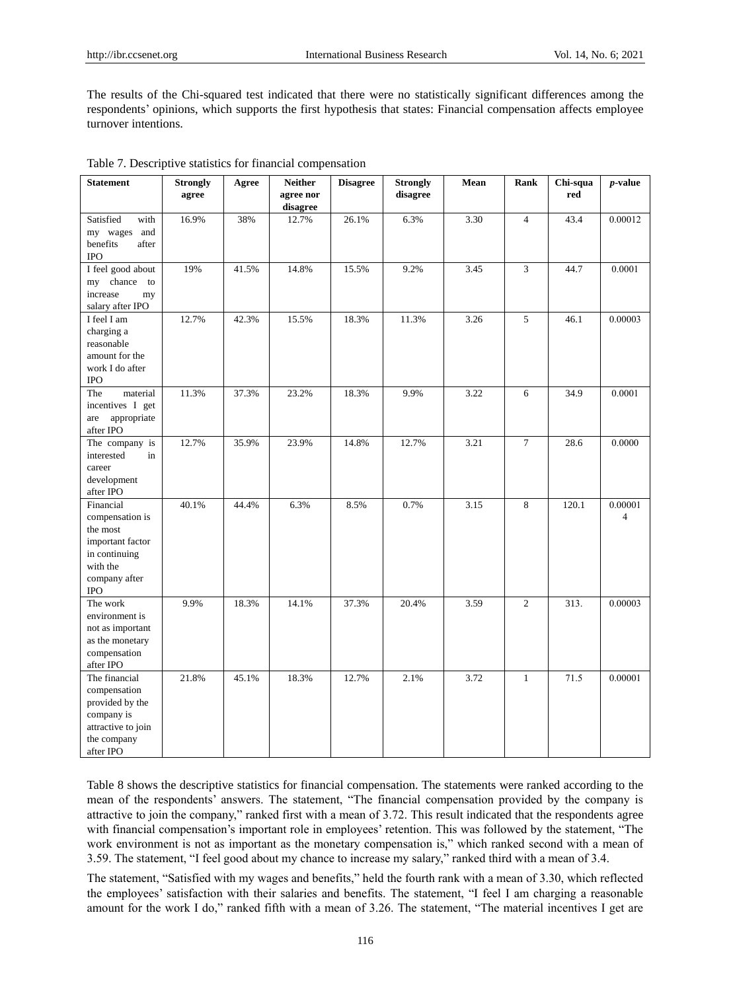The results of the Chi-squared test indicated that there were no statistically significant differences among the respondents' opinions, which supports the first hypothesis that states: Financial compensation affects employee turnover intentions.

| <b>Statement</b>                                                                                                         | <b>Strongly</b><br>agree | Agree | <b>Neither</b><br>agree nor<br>disagree | <b>Disagree</b> | <b>Strongly</b><br>disagree | Mean | Rank           | Chi-squa<br>red | $p$ -value   |
|--------------------------------------------------------------------------------------------------------------------------|--------------------------|-------|-----------------------------------------|-----------------|-----------------------------|------|----------------|-----------------|--------------|
| Satisfied<br>with<br>my wages and<br>benefits<br>after<br><b>IPO</b>                                                     | 16.9%                    | 38%   | 12.7%                                   | 26.1%           | 6.3%                        | 3.30 | $\overline{4}$ | 43.4            | 0.00012      |
| I feel good about<br>chance to<br>my<br>increase<br>my<br>salary after IPO                                               | 19%                      | 41.5% | 14.8%                                   | 15.5%           | 9.2%                        | 3.45 | 3              | 44.7            | 0.0001       |
| I feel I am<br>charging a<br>reasonable<br>amount for the<br>work I do after<br><b>IPO</b>                               | 12.7%                    | 42.3% | 15.5%                                   | 18.3%           | 11.3%                       | 3.26 | 5              | 46.1            | 0.00003      |
| material<br>The<br>incentives I get<br>appropriate<br>are<br>after IPO                                                   | 11.3%                    | 37.3% | 23.2%                                   | 18.3%           | 9.9%                        | 3.22 | 6              | 34.9            | 0.0001       |
| The company is<br>interested<br>in<br>career<br>development<br>after IPO                                                 | 12.7%                    | 35.9% | 23.9%                                   | 14.8%           | 12.7%                       | 3.21 | $\tau$         | 28.6            | 0.0000       |
| Financial<br>compensation is<br>the most<br>important factor<br>in continuing<br>with the<br>company after<br><b>IPO</b> | 40.1%                    | 44.4% | 6.3%                                    | 8.5%            | 0.7%                        | 3.15 | 8              | 120.1           | 0.00001<br>4 |
| The work<br>environment is<br>not as important<br>as the monetary<br>compensation<br>after IPO                           | 9.9%                     | 18.3% | 14.1%                                   | 37.3%           | 20.4%                       | 3.59 | $\overline{2}$ | 313.            | 0.00003      |
| The financial<br>compensation<br>provided by the<br>company is<br>attractive to join<br>the company<br>after IPO         | 21.8%                    | 45.1% | 18.3%                                   | 12.7%           | 2.1%                        | 3.72 | $\mathbf{1}$   | 71.5            | 0.00001      |

|  |  | Table 7. Descriptive statistics for financial compensation |
|--|--|------------------------------------------------------------|
|  |  |                                                            |

Table 8 shows the descriptive statistics for financial compensation. The statements were ranked according to the mean of the respondents' answers. The statement, "The financial compensation provided by the company is attractive to join the company," ranked first with a mean of 3.72. This result indicated that the respondents agree with financial compensation's important role in employees' retention. This was followed by the statement, "The work environment is not as important as the monetary compensation is," which ranked second with a mean of 3.59. The statement, "I feel good about my chance to increase my salary," ranked third with a mean of 3.4.

The statement, "Satisfied with my wages and benefits," held the fourth rank with a mean of 3.30, which reflected the employees' satisfaction with their salaries and benefits. The statement, "I feel I am charging a reasonable amount for the work I do," ranked fifth with a mean of 3.26. The statement, "The material incentives I get are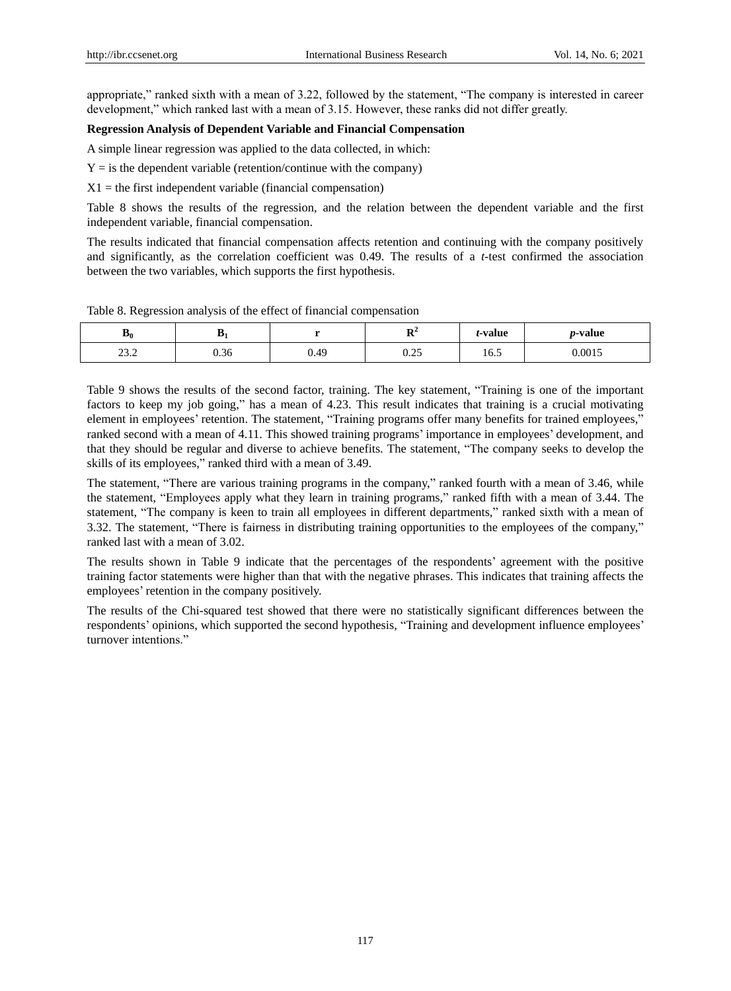appropriate," ranked sixth with a mean of 3.22, followed by the statement, "The company is interested in career development," which ranked last with a mean of 3.15. However, these ranks did not differ greatly.

## **Regression Analysis of Dependent Variable and Financial Compensation**

A simple linear regression was applied to the data collected, in which:

 $Y =$  is the dependent variable (retention/continue with the company)

 $X1 =$  the first independent variable (financial compensation)

Table 8 shows the results of the regression, and the relation between the dependent variable and the first independent variable, financial compensation.

The results indicated that financial compensation affects retention and continuing with the company positively and significantly, as the correlation coefficient was 0.49. The results of a *t*-test confirmed the association between the two variables, which supports the first hypothesis.

Table 8. Regression analysis of the effect of financial compensation

| $\mathbf{p}_0$            | v              |      | m.<br>$\overline{\phantom{a}}$ | <i>t</i> -value                  | <i>p</i> -value |
|---------------------------|----------------|------|--------------------------------|----------------------------------|-----------------|
| $\sim$<br>$\sim$<br>ے ۔ ب | $\sim$<br>U.36 | 0.49 | $\cap$<br>0.4J                 | $\overline{\phantom{0}}$<br>16.5 | 0.0015          |

Table 9 shows the results of the second factor, training. The key statement, "Training is one of the important factors to keep my job going," has a mean of 4.23. This result indicates that training is a crucial motivating element in employees' retention. The statement, "Training programs offer many benefits for trained employees," ranked second with a mean of 4.11. This showed training programs' importance in employees' development, and that they should be regular and diverse to achieve benefits. The statement, "The company seeks to develop the skills of its employees," ranked third with a mean of 3.49.

The statement, "There are various training programs in the company," ranked fourth with a mean of 3.46, while the statement, "Employees apply what they learn in training programs," ranked fifth with a mean of 3.44. The statement, "The company is keen to train all employees in different departments," ranked sixth with a mean of 3.32. The statement, "There is fairness in distributing training opportunities to the employees of the company," ranked last with a mean of 3.02.

The results shown in Table 9 indicate that the percentages of the respondents' agreement with the positive training factor statements were higher than that with the negative phrases. This indicates that training affects the employees' retention in the company positively.

The results of the Chi-squared test showed that there were no statistically significant differences between the respondents' opinions, which supported the second hypothesis, "Training and development influence employees' turnover intentions."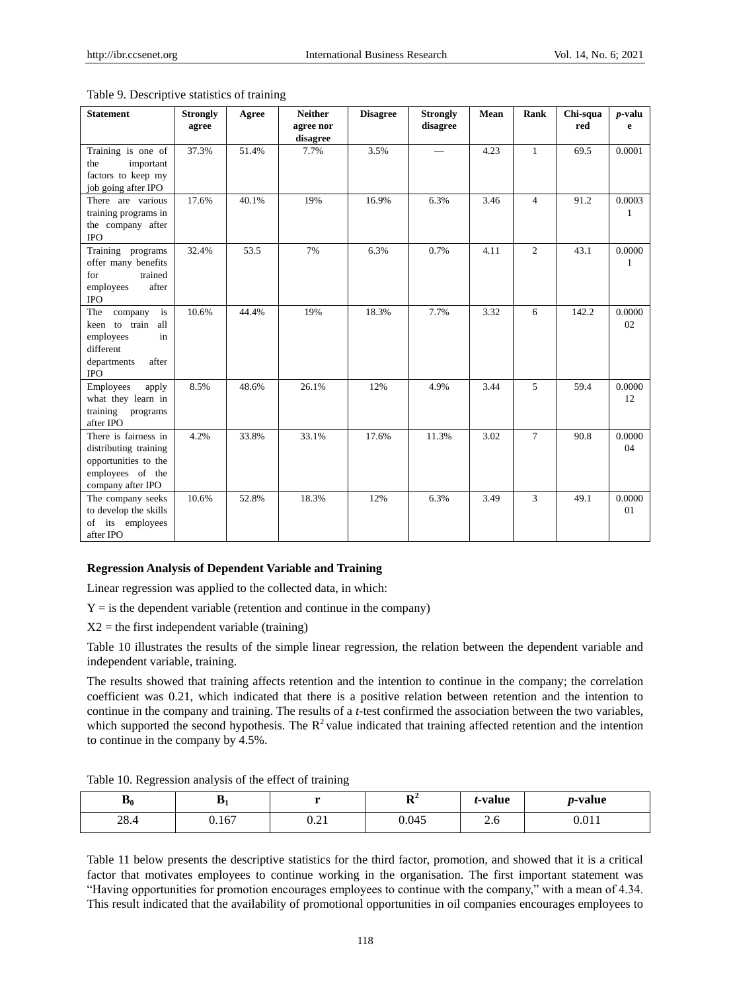| <b>Statement</b>                                                                                                | <b>Strongly</b><br>agree | Agree | <b>Neither</b><br>agree nor<br>disagree | <b>Disagree</b> | <b>Strongly</b><br>disagree | Mean | Rank           | Chi-squa<br>red | $p$ -valu<br>e |
|-----------------------------------------------------------------------------------------------------------------|--------------------------|-------|-----------------------------------------|-----------------|-----------------------------|------|----------------|-----------------|----------------|
| Training is one of<br>important<br>the<br>factors to keep my<br>job going after IPO                             | 37.3%                    | 51.4% | 7.7%                                    | 3.5%            |                             | 4.23 | 1              | 69.5            | 0.0001         |
| There are various<br>training programs in<br>the company after<br><b>IPO</b>                                    | 17.6%                    | 40.1% | 19%                                     | 16.9%           | 6.3%                        | 3.46 | $\overline{4}$ | 91.2            | 0.0003         |
| Training programs<br>offer many benefits<br>trained<br>for<br>employees<br>after<br><b>IPO</b>                  | 32.4%                    | 53.5  | 7%                                      | 6.3%            | 0.7%                        | 4.11 | 2              | 43.1            | 0.0000<br>1    |
| is<br>The<br>company<br>keen to train all<br>employees<br>in<br>different<br>departments<br>after<br><b>IPO</b> | 10.6%                    | 44.4% | 19%                                     | 18.3%           | 7.7%                        | 3.32 | 6              | 142.2           | 0.0000<br>02   |
| Employees<br>apply<br>what they learn in<br>training<br>programs<br>after IPO                                   | 8.5%                     | 48.6% | 26.1%                                   | 12%             | 4.9%                        | 3.44 | 5              | 59.4            | 0.0000<br>12   |
| There is fairness in<br>distributing training<br>opportunities to the<br>employees of the<br>company after IPO  | 4.2%                     | 33.8% | 33.1%                                   | 17.6%           | 11.3%                       | 3.02 | $\tau$         | 90.8            | 0.0000<br>04   |
| The company seeks<br>to develop the skills<br>its employees<br>of<br>after IPO                                  | 10.6%                    | 52.8% | 18.3%                                   | 12%             | 6.3%                        | 3.49 | 3              | 49.1            | 0.0000<br>01   |

#### Table 9. Descriptive statistics of training

## **Regression Analysis of Dependent Variable and Training**

Linear regression was applied to the collected data, in which:

 $Y =$  is the dependent variable (retention and continue in the company)

 $X2$  = the first independent variable (training)

Table 10 illustrates the results of the simple linear regression, the relation between the dependent variable and independent variable, training.

The results showed that training affects retention and the intention to continue in the company; the correlation coefficient was 0.21, which indicated that there is a positive relation between retention and the intention to continue in the company and training. The results of a *t*-test confirmed the association between the two variables, which supported the second hypothesis. The  $R^2$  value indicated that training affected retention and the intention to continue in the company by 4.5%.

|  | Table 10. Regression analysis of the effect of training |  |  |  |
|--|---------------------------------------------------------|--|--|--|
|  |                                                         |  |  |  |

| $\mathbf{p}_0$     | m<br>D.<br>. . |              | $\mathbf{m}^2$<br>- | <i>t</i> -value | <i>p</i> -value |
|--------------------|----------------|--------------|---------------------|-----------------|-----------------|
| $\gamma$ o<br>20.4 | 0.167          | 0.01<br>0.41 | 0.045               | $\sim$ $\sim$   | 0.011           |

Table 11 below presents the descriptive statistics for the third factor, promotion, and showed that it is a critical factor that motivates employees to continue working in the organisation. The first important statement was "Having opportunities for promotion encourages employees to continue with the company," with a mean of 4.34. This result indicated that the availability of promotional opportunities in oil companies encourages employees to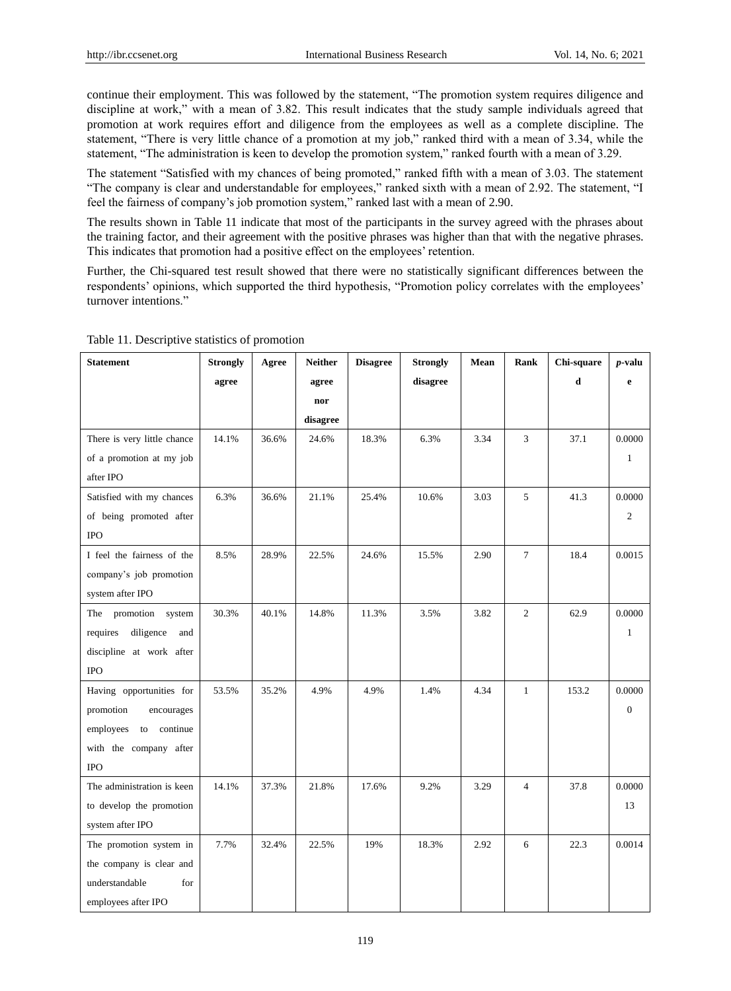continue their employment. This was followed by the statement, "The promotion system requires diligence and discipline at work," with a mean of 3.82. This result indicates that the study sample individuals agreed that promotion at work requires effort and diligence from the employees as well as a complete discipline. The statement, "There is very little chance of a promotion at my job," ranked third with a mean of 3.34, while the statement, "The administration is keen to develop the promotion system," ranked fourth with a mean of 3.29.

The statement "Satisfied with my chances of being promoted," ranked fifth with a mean of 3.03. The statement "The company is clear and understandable for employees," ranked sixth with a mean of 2.92. The statement, "I feel the fairness of company's job promotion system," ranked last with a mean of 2.90.

The results shown in Table 11 indicate that most of the participants in the survey agreed with the phrases about the training factor, and their agreement with the positive phrases was higher than that with the negative phrases. This indicates that promotion had a positive effect on the employees' retention.

Further, the Chi-squared test result showed that there were no statistically significant differences between the respondents' opinions, which supported the third hypothesis, "Promotion policy correlates with the employees' turnover intentions."

| <b>Statement</b>             | <b>Strongly</b> | Agree | <b>Neither</b> | <b>Disagree</b> | <b>Strongly</b> | Mean | Rank           | Chi-square | $p$ -valu      |
|------------------------------|-----------------|-------|----------------|-----------------|-----------------|------|----------------|------------|----------------|
|                              | agree           |       | agree          |                 | disagree        |      |                | d          | e              |
|                              |                 |       | nor            |                 |                 |      |                |            |                |
|                              |                 |       | disagree       |                 |                 |      |                |            |                |
| There is very little chance  | 14.1%           | 36.6% | 24.6%          | 18.3%           | 6.3%            | 3.34 | 3              | 37.1       | 0.0000         |
| of a promotion at my job     |                 |       |                |                 |                 |      |                |            | 1              |
| after IPO                    |                 |       |                |                 |                 |      |                |            |                |
| Satisfied with my chances    | 6.3%            | 36.6% | 21.1%          | 25.4%           | 10.6%           | 3.03 | 5              | 41.3       | 0.0000         |
| of being promoted after      |                 |       |                |                 |                 |      |                |            | $\overline{2}$ |
| <b>IPO</b>                   |                 |       |                |                 |                 |      |                |            |                |
| I feel the fairness of the   | 8.5%            | 28.9% | 22.5%          | 24.6%           | 15.5%           | 2.90 | 7              | 18.4       | 0.0015         |
| company's job promotion      |                 |       |                |                 |                 |      |                |            |                |
| system after IPO             |                 |       |                |                 |                 |      |                |            |                |
| The promotion<br>system      | 30.3%           | 40.1% | 14.8%          | 11.3%           | 3.5%            | 3.82 | $\overline{c}$ | 62.9       | 0.0000         |
| diligence<br>requires<br>and |                 |       |                |                 |                 |      |                |            | $\mathbf{1}$   |
| discipline at work after     |                 |       |                |                 |                 |      |                |            |                |
| <b>IPO</b>                   |                 |       |                |                 |                 |      |                |            |                |
| Having opportunities for     | 53.5%           | 35.2% | 4.9%           | 4.9%            | 1.4%            | 4.34 | $\mathbf{1}$   | 153.2      | 0.0000         |
| promotion<br>encourages      |                 |       |                |                 |                 |      |                |            | $\overline{0}$ |
| employees to continue        |                 |       |                |                 |                 |      |                |            |                |
| with the company after       |                 |       |                |                 |                 |      |                |            |                |
| <b>IPO</b>                   |                 |       |                |                 |                 |      |                |            |                |
| The administration is keen   | 14.1%           | 37.3% | 21.8%          | 17.6%           | 9.2%            | 3.29 | $\overline{4}$ | 37.8       | 0.0000         |
| to develop the promotion     |                 |       |                |                 |                 |      |                |            | 13             |
| system after IPO             |                 |       |                |                 |                 |      |                |            |                |
| The promotion system in      | 7.7%            | 32.4% | 22.5%          | 19%             | 18.3%           | 2.92 | 6              | 22.3       | 0.0014         |
| the company is clear and     |                 |       |                |                 |                 |      |                |            |                |
| understandable<br>for        |                 |       |                |                 |                 |      |                |            |                |
| employees after IPO          |                 |       |                |                 |                 |      |                |            |                |

Table 11. Descriptive statistics of promotion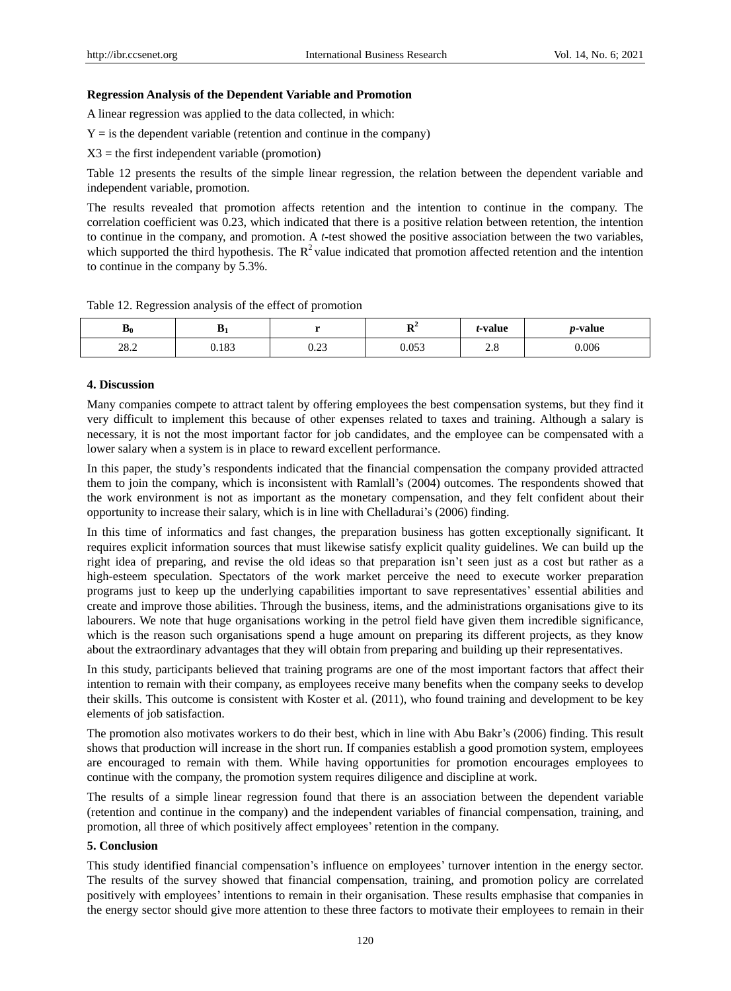#### **Regression Analysis of the Dependent Variable and Promotion**

A linear regression was applied to the data collected, in which:

 $Y =$  is the dependent variable (retention and continue in the company)

 $X3$  = the first independent variable (promotion)

Table 12 presents the results of the simple linear regression, the relation between the dependent variable and independent variable, promotion.

The results revealed that promotion affects retention and the intention to continue in the company. The correlation coefficient was 0.23, which indicated that there is a positive relation between retention, the intention to continue in the company, and promotion. A *t*-test showed the positive association between the two variables, which supported the third hypothesis. The  $R^2$  value indicated that promotion affected retention and the intention to continue in the company by 5.3%.

|  | Table 12. Regression analysis of the effect of promotion |
|--|----------------------------------------------------------|
|  |                                                          |

| $\mathbf{p}_0$ | D     |      | D4<br> | <i>t</i> -value | <i>p</i> -value |
|----------------|-------|------|--------|-----------------|-----------------|
| 202<br>20.2    | 0.183 | 0.23 | 0.053  | ີເ<br>$\sim$ .0 | 0.006           |

#### **4. Discussion**

Many companies compete to attract talent by offering employees the best compensation systems, but they find it very difficult to implement this because of other expenses related to taxes and training. Although a salary is necessary, it is not the most important factor for job candidates, and the employee can be compensated with a lower salary when a system is in place to reward excellent performance.

In this paper, the study's respondents indicated that the financial compensation the company provided attracted them to join the company, which is inconsistent with Ramlall's (2004) outcomes. The respondents showed that the work environment is not as important as the monetary compensation, and they felt confident about their opportunity to increase their salary, which is in line with Chelladurai's (2006) finding.

In this time of informatics and fast changes, the preparation business has gotten exceptionally significant. It requires explicit information sources that must likewise satisfy explicit quality guidelines. We can build up the right idea of preparing, and revise the old ideas so that preparation isn't seen just as a cost but rather as a high-esteem speculation. Spectators of the work market perceive the need to execute worker preparation programs just to keep up the underlying capabilities important to save representatives' essential abilities and create and improve those abilities. Through the business, items, and the administrations organisations give to its labourers. We note that huge organisations working in the petrol field have given them incredible significance, which is the reason such organisations spend a huge amount on preparing its different projects, as they know about the extraordinary advantages that they will obtain from preparing and building up their representatives.

In this study, participants believed that training programs are one of the most important factors that affect their intention to remain with their company, as employees receive many benefits when the company seeks to develop their skills. This outcome is consistent with Koster et al. (2011), who found training and development to be key elements of job satisfaction.

The promotion also motivates workers to do their best, which in line with Abu Bakr's (2006) finding. This result shows that production will increase in the short run. If companies establish a good promotion system, employees are encouraged to remain with them. While having opportunities for promotion encourages employees to continue with the company, the promotion system requires diligence and discipline at work.

The results of a simple linear regression found that there is an association between the dependent variable (retention and continue in the company) and the independent variables of financial compensation, training, and promotion, all three of which positively affect employees' retention in the company.

#### **5. Conclusion**

This study identified financial compensation's influence on employees' turnover intention in the energy sector. The results of the survey showed that financial compensation, training, and promotion policy are correlated positively with employees' intentions to remain in their organisation. These results emphasise that companies in the energy sector should give more attention to these three factors to motivate their employees to remain in their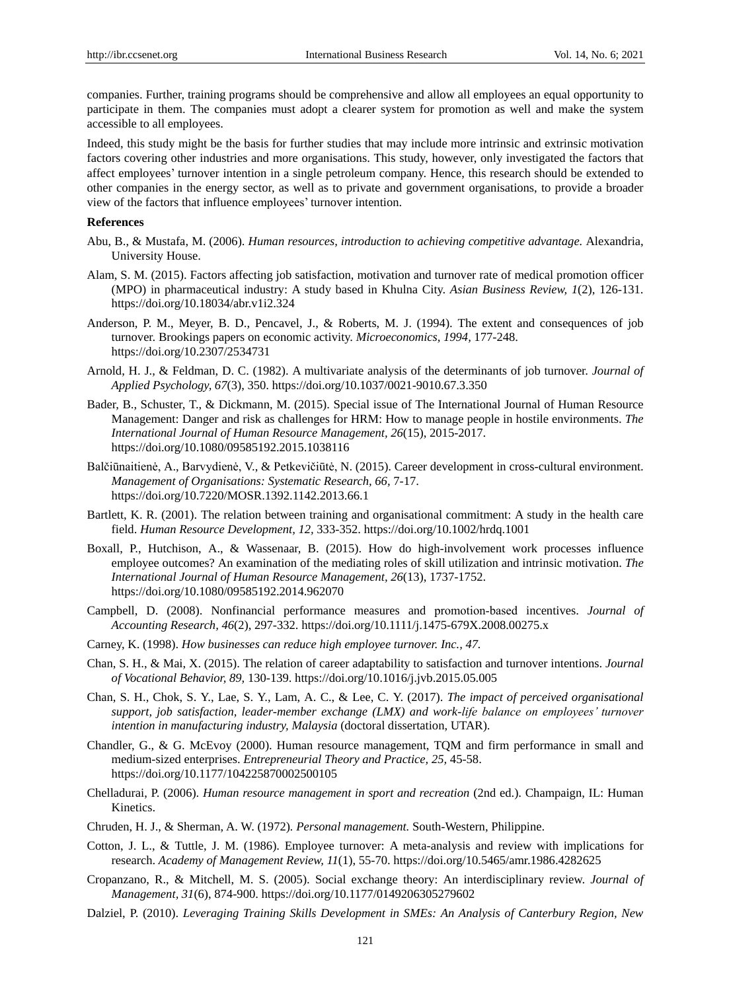companies. Further, training programs should be comprehensive and allow all employees an equal opportunity to participate in them. The companies must adopt a clearer system for promotion as well and make the system accessible to all employees.

Indeed, this study might be the basis for further studies that may include more intrinsic and extrinsic motivation factors covering other industries and more organisations. This study, however, only investigated the factors that affect employees' turnover intention in a single petroleum company. Hence, this research should be extended to other companies in the energy sector, as well as to private and government organisations, to provide a broader view of the factors that influence employees' turnover intention.

#### **References**

- Abu, B., & Mustafa, M. (2006). *Human resources, introduction to achieving competitive advantage.* Alexandria, University House.
- Alam, S. M. (2015). Factors affecting job satisfaction, motivation and turnover rate of medical promotion officer (MPO) in pharmaceutical industry: A study based in Khulna City. *Asian Business Review, 1*(2), 126-131. https://doi.org/10.18034/abr.v1i2.324
- Anderson, P. M., Meyer, B. D., Pencavel, J., & Roberts, M. J. (1994). The extent and consequences of job turnover. Brookings papers on economic activity. *Microeconomics, 1994,* 177-248. https://doi.org/10.2307/2534731
- Arnold, H. J., & Feldman, D. C. (1982). A multivariate analysis of the determinants of job turnover. *Journal of Applied Psychology, 67*(3), 350. https://doi.org/10.1037/0021-9010.67.3.350
- Bader, B., Schuster, T., & Dickmann, M. (2015). Special issue of The International Journal of Human Resource Management: Danger and risk as challenges for HRM: How to manage people in hostile environments. *The International Journal of Human Resource Management, 26*(15), 2015-2017. https://doi.org/10.1080/09585192.2015.1038116
- Balčiūnaitienė, A., Barvydienė, V., & Petkevičiūtė, N. (2015). Career development in cross-cultural environment. *Management of Organisations: Systematic Research, 66,* 7-17. https://doi.org/10.7220/MOSR.1392.1142.2013.66.1
- Bartlett, K. R. (2001). The relation between training and organisational commitment: A study in the health care field. *Human Resource Development, 12,* 333-352. https://doi.org/10.1002/hrdq.1001
- Boxall, P., Hutchison, A., & Wassenaar, B. (2015). How do high-involvement work processes influence employee outcomes? An examination of the mediating roles of skill utilization and intrinsic motivation. *The International Journal of Human Resource Management, 26*(13), 1737-1752. https://doi.org/10.1080/09585192.2014.962070
- Campbell, D. (2008). Nonfinancial performance measures and promotion‐based incentives. *Journal of Accounting Research, 46*(2), 297-332. https://doi.org/10.1111/j.1475-679X.2008.00275.x
- Carney, K. (1998). *How businesses can reduce high employee turnover. Inc., 47.*
- Chan, S. H., & Mai, X. (2015). The relation of career adaptability to satisfaction and turnover intentions. *Journal of Vocational Behavior, 89,* 130-139. https://doi.org/10.1016/j.jvb.2015.05.005
- Chan, S. H., Chok, S. Y., Lae, S. Y., Lam, A. C., & Lee, C. Y. (2017). *The impact of perceived organisational support, job satisfaction, leader-member exchange (LMX) and work-life balance on employees' turnover intention in manufacturing industry, Malaysia* (doctoral dissertation, UTAR).
- Chandler, G., & G. McEvoy (2000). Human resource management, TQM and firm performance in small and medium-sized enterprises. *Entrepreneurial Theory and Practice, 25,* 45-58. https://doi.org/10.1177/104225870002500105
- Chelladurai, P. (2006). *Human resource management in sport and recreation* (2nd ed.). Champaign, IL: Human Kinetics.
- Chruden, H. J., & Sherman, A. W. (1972)*. Personal management.* South-Western, Philippine.
- Cotton, J. L., & Tuttle, J. M. (1986). Employee turnover: A meta-analysis and review with implications for research. *Academy of Management Review, 11*(1), 55-70. https://doi.org/10.5465/amr.1986.4282625
- Cropanzano, R., & Mitchell, M. S. (2005). Social exchange theory: An interdisciplinary review. *Journal of Management, 31*(6), 874-900. https://doi.org/10.1177/0149206305279602
- Dalziel, P. (2010). *Leveraging Training Skills Development in SMEs: An Analysis of Canterbury Region, New*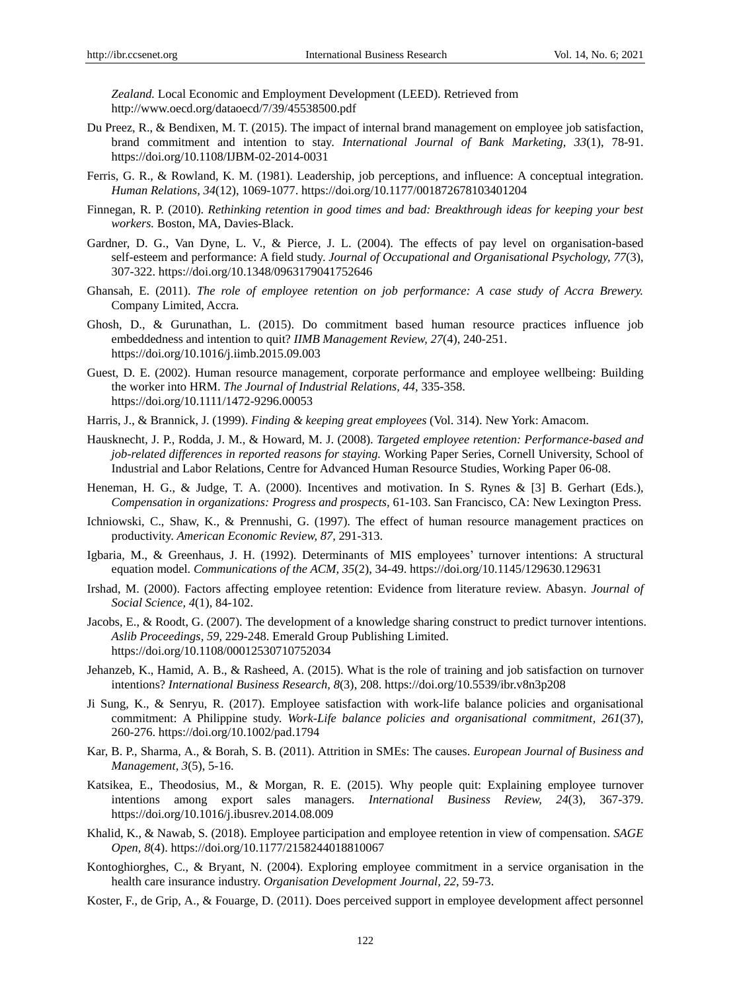*Zealand.* Local Economic and Employment Development (LEED). Retrieved from http://www.oecd.org/dataoecd/7/39/45538500.pdf

- Du Preez, R., & Bendixen, M. T. (2015). The impact of internal brand management on employee job satisfaction, brand commitment and intention to stay. *International Journal of Bank Marketing, 33*(1), 78-91. https://doi.org/10.1108/IJBM-02-2014-0031
- Ferris, G. R., & Rowland, K. M. (1981). Leadership, job perceptions, and influence: A conceptual integration. *Human Relations, 34*(12), 1069-1077. https://doi.org/10.1177/001872678103401204
- Finnegan, R. P. (2010). *Rethinking retention in good times and bad: Breakthrough ideas for keeping your best workers.* Boston, MA, Davies-Black.
- Gardner, D. G., Van Dyne, L. V., & Pierce, J. L. (2004). The effects of pay level on organisation-based self-esteem and performance: A field study. *Journal of Occupational and Organisational Psychology, 77*(3), 307-322. https://doi.org/10.1348/0963179041752646
- Ghansah, E. (2011). *The role of employee retention on job performance: A case study of Accra Brewery.*  Company Limited, Accra.
- Ghosh, D., & Gurunathan, L. (2015). Do commitment based human resource practices influence job embeddedness and intention to quit? *IIMB Management Review, 27*(4), 240-251. https://doi.org/10.1016/j.iimb.2015.09.003
- Guest, D. E. (2002). Human resource management, corporate performance and employee wellbeing: Building the worker into HRM. *The Journal of Industrial Relations, 44,* 335-358. https://doi.org/10.1111/1472-9296.00053
- Harris, J., & Brannick, J. (1999). *Finding & keeping great employees* (Vol. 314). New York: Amacom.
- Hausknecht, J. P., Rodda, J. M., & Howard, M. J. (2008). *Targeted employee retention: Performance-based and job-related differences in reported reasons for staying.* Working Paper Series, Cornell University, School of Industrial and Labor Relations, Centre for Advanced Human Resource Studies, Working Paper 06-08.
- Heneman, H. G., & Judge, T. A. (2000). Incentives and motivation. In S. Rynes & [3] B. Gerhart (Eds.), *Compensation in organizations: Progress and prospects,* 61-103. San Francisco, CA: New Lexington Press.
- Ichniowski, C., Shaw, K., & Prennushi, G. (1997). The effect of human resource management practices on productivity. *American Economic Review, 87,* 291-313.
- Igbaria, M., & Greenhaus, J. H. (1992). Determinants of MIS employees' turnover intentions: A structural equation model. *Communications of the ACM, 35*(2), 34-49. https://doi.org/10.1145/129630.129631
- Irshad, M. (2000). Factors affecting employee retention: Evidence from literature review. Abasyn. *Journal of Social Science, 4*(1), 84-102.
- Jacobs, E., & Roodt, G. (2007). The development of a knowledge sharing construct to predict turnover intentions. *Aslib Proceedings, 59,* 229-248. Emerald Group Publishing Limited. https://doi.org/10.1108/00012530710752034
- Jehanzeb, K., Hamid, A. B., & Rasheed, A. (2015). What is the role of training and job satisfaction on turnover intentions? *International Business Research, 8*(3), 208. https://doi.org/10.5539/ibr.v8n3p208
- Ji Sung, K., & Senryu, R. (2017). Employee satisfaction with work-life balance policies and organisational commitment: A Philippine study. *Work-Life balance policies and organisational commitment, 261*(37), 260-276. https://doi.org/10.1002/pad.1794
- Kar, B. P., Sharma, A., & Borah, S. B. (2011). Attrition in SMEs: The causes. *European Journal of Business and Management, 3*(5), 5-16.
- Katsikea, E., Theodosius, M., & Morgan, R. E. (2015). Why people quit: Explaining employee turnover intentions among export sales managers. *International Business Review, 24*(3), 367-379. https://doi.org/10.1016/j.ibusrev.2014.08.009
- Khalid, K., & Nawab, S. (2018). Employee participation and employee retention in view of compensation. *SAGE Open, 8*(4). https://doi.org/10.1177/2158244018810067
- Kontoghiorghes, C., & Bryant, N. (2004). Exploring employee commitment in a service organisation in the health care insurance industry. *Organisation Development Journal, 22,* 59-73.
- Koster, F., de Grip, A., & Fouarge, D. (2011). Does perceived support in employee development affect personnel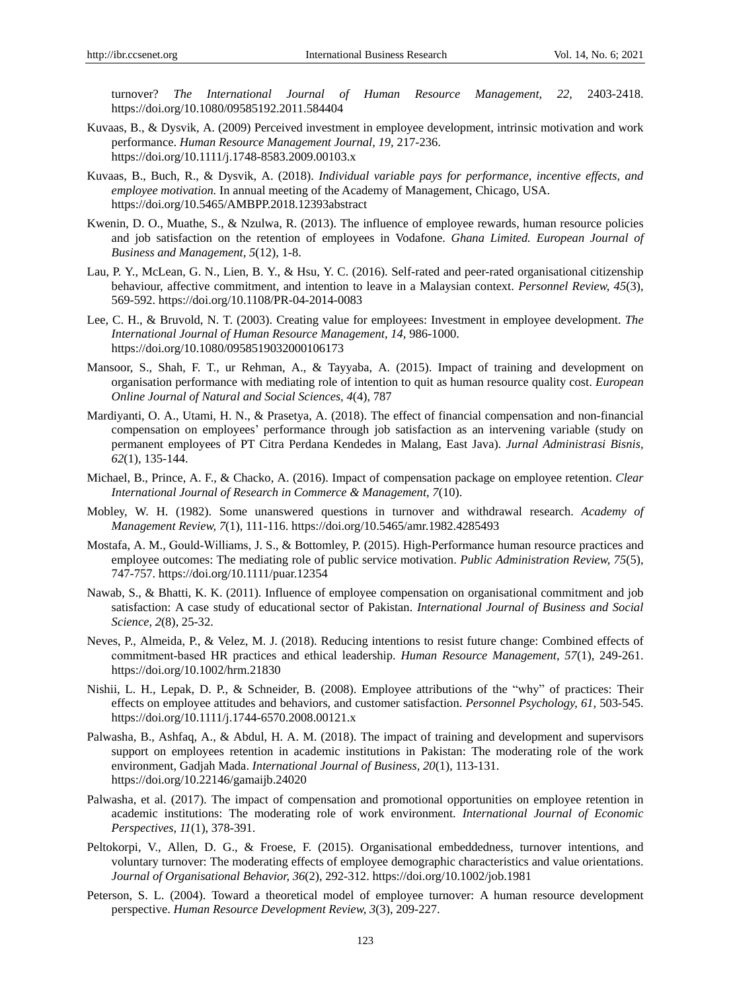turnover? *The International Journal of Human Resource Management, 22,* 2403-2418. https://doi.org/10.1080/09585192.2011.584404

- Kuvaas, B., & Dysvik, A. (2009) Perceived investment in employee development, intrinsic motivation and work performance. *Human Resource Management Journal, 19,* 217-236. https://doi.org/10.1111/j.1748-8583.2009.00103.x
- Kuvaas, B., Buch, R., & Dysvik, A. (2018). *Individual variable pays for performance, incentive effects, and employee motivation.* In annual meeting of the Academy of Management, Chicago, USA. https://doi.org/10.5465/AMBPP.2018.12393abstract
- Kwenin, D. O., Muathe, S., & Nzulwa, R. (2013). The influence of employee rewards, human resource policies and job satisfaction on the retention of employees in Vodafone. *Ghana Limited. European Journal of Business and Management, 5*(12), 1-8.
- Lau, P. Y., McLean, G. N., Lien, B. Y., & Hsu, Y. C. (2016). Self-rated and peer-rated organisational citizenship behaviour, affective commitment, and intention to leave in a Malaysian context. *Personnel Review, 45*(3), 569-592. https://doi.org/10.1108/PR-04-2014-0083
- Lee, C. H., & Bruvold, N. T. (2003). Creating value for employees: Investment in employee development. *The International Journal of Human Resource Management, 14,* 986-1000. https://doi.org/10.1080/0958519032000106173
- Mansoor, S., Shah, F. T., ur Rehman, A., & Tayyaba, A. (2015). Impact of training and development on organisation performance with mediating role of intention to quit as human resource quality cost. *European Online Journal of Natural and Social Sciences, 4*(4), 787
- Mardiyanti, O. A., Utami, H. N., & Prasetya, A. (2018). The effect of financial compensation and non-financial compensation on employees' performance through job satisfaction as an intervening variable (study on permanent employees of PT Citra Perdana Kendedes in Malang, East Java). *Jurnal Administrasi Bisnis, 62*(1), 135-144.
- Michael, B., Prince, A. F., & Chacko, A. (2016). Impact of compensation package on employee retention. *Clear International Journal of Research in Commerce & Management, 7*(10).
- Mobley, W. H. (1982). Some unanswered questions in turnover and withdrawal research. *Academy of Management Review, 7*(1), 111-116. https://doi.org/10.5465/amr.1982.4285493
- Mostafa, A. M., Gould-Williams, J. S., & Bottomley, P. (2015). High-Performance human resource practices and employee outcomes: The mediating role of public service motivation. *Public Administration Review, 75*(5), 747-757. https://doi.org/10.1111/puar.12354
- Nawab, S., & Bhatti, K. K. (2011). Influence of employee compensation on organisational commitment and job satisfaction: A case study of educational sector of Pakistan. *International Journal of Business and Social Science, 2*(8), 25-32.
- Neves, P., Almeida, P., & Velez, M. J. (2018). Reducing intentions to resist future change: Combined effects of commitment‐based HR practices and ethical leadership. *Human Resource Management, 57*(1), 249-261. https://doi.org/10.1002/hrm.21830
- Nishii, L. H., Lepak, D. P., & Schneider, B. (2008). Employee attributions of the "why" of practices: Their effects on employee attitudes and behaviors, and customer satisfaction. *Personnel Psychology, 61,* 503-545. https://doi.org/10.1111/j.1744-6570.2008.00121.x
- Palwasha, B., Ashfaq, A., & Abdul, H. A. M. (2018). The impact of training and development and supervisors support on employees retention in academic institutions in Pakistan: The moderating role of the work environment, Gadjah Mada. *International Journal of Business, 20*(1), 113-131. https://doi.org/10.22146/gamaijb.24020
- Palwasha, et al. (2017). The impact of compensation and promotional opportunities on employee retention in academic institutions: The moderating role of work environment. *International Journal of Economic Perspectives, 11*(1), 378-391.
- Peltokorpi, V., Allen, D. G., & Froese, F. (2015). Organisational embeddedness, turnover intentions, and voluntary turnover: The moderating effects of employee demographic characteristics and value orientations. *Journal of Organisational Behavior, 36*(2), 292-312. https://doi.org/10.1002/job.1981
- Peterson, S. L. (2004). Toward a theoretical model of employee turnover: A human resource development perspective. *Human Resource Development Review, 3*(3), 209-227.